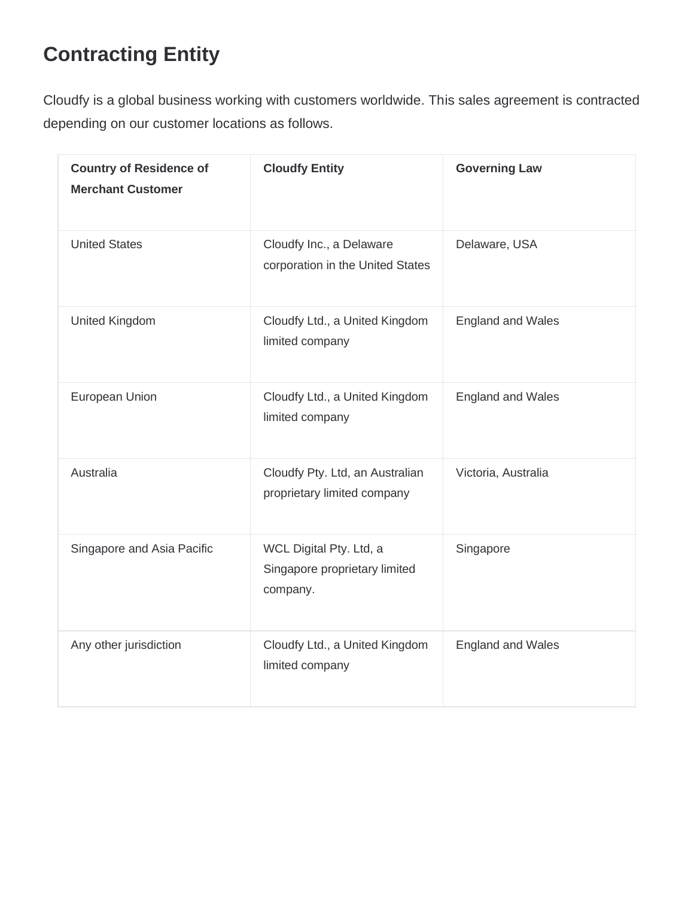# **Contracting Entity**

Cloudfy is a global business working with customers worldwide. This sales agreement is contracted depending on our customer locations as follows.

| <b>Country of Residence of</b><br><b>Merchant Customer</b> | <b>Cloudfy Entity</b>                                                | <b>Governing Law</b>     |
|------------------------------------------------------------|----------------------------------------------------------------------|--------------------------|
| <b>United States</b>                                       | Cloudfy Inc., a Delaware<br>corporation in the United States         | Delaware, USA            |
| United Kingdom                                             | Cloudfy Ltd., a United Kingdom<br>limited company                    | <b>England and Wales</b> |
| European Union                                             | Cloudfy Ltd., a United Kingdom<br>limited company                    | <b>England and Wales</b> |
| Australia                                                  | Cloudfy Pty. Ltd, an Australian<br>proprietary limited company       | Victoria, Australia      |
| Singapore and Asia Pacific                                 | WCL Digital Pty. Ltd, a<br>Singapore proprietary limited<br>company. | Singapore                |
| Any other jurisdiction                                     | Cloudfy Ltd., a United Kingdom<br>limited company                    | <b>England and Wales</b> |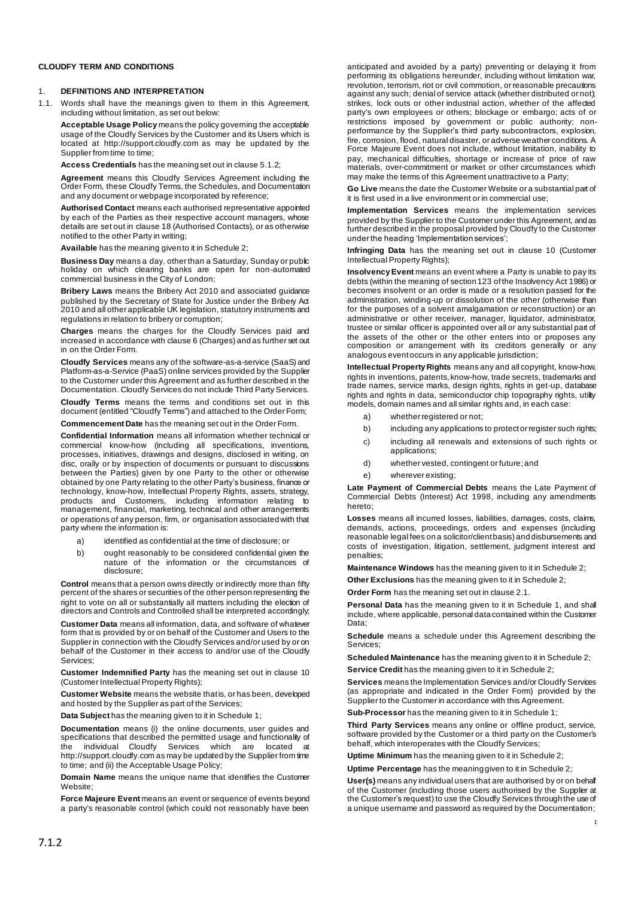### **CLOUDFY TERM AND CONDITIONS**

#### 1. **DEFINITIONS AND INTERPRETATION**

1.1. Words shall have the meanings given to them in this Agreement, including without limitation, as set out below:

**Acceptable Usage Policy** means the policy governing the acceptable usage of the Cloudfy Services by the Customer and its Users which is located at http://support.cloudfy.com as may be updated by the Supplier from time to time;

**Access Credentials** has the meaning set out in claus[e 5.1.2](#page-2-0);

**Agreement** means this Cloudfy Services Agreement including the Order Form, these Cloudfy Terms, the Schedules, and Documentation and any document or webpage incorporated by reference;

**Authorised Contact** means each authorised representative appointed by each of the Parties as their respective account managers, whose details are set out in claus[e 18](#page-5-0) (Authorised Contacts), or as otherwise notified to the other Party in writing;

**Available** has the meaning given to it in Schedule 2;

**Business Day** means a day, other than a Saturday, Sunday or public holiday on which clearing banks are open for non-automated commercial business in the City of London;

**Bribery Laws** means the Bribery Act 2010 and associated guidance published by the Secretary of State for Justice under the Bribery Act 2010 and all other applicable UK legislation, statutory instruments and regulations in relation to bribery or corruption;

**Charges** means the charges for the Cloudfy Services paid and increased in accordance with claus[e 6](#page-3-0) (Charges) and as further set out in on the Order Form.

**Cloudfy Services** means any of the software-as-a-service (SaaS) and Platform-as-a-Service (PaaS) online services provided by the Supplier to the Customer under this Agreement and as further described in the Documentation. Cloudfy Services do not include Third Party Services.

**Cloudfy Terms** means the terms and conditions set out in this document (entitled "Cloudfy Terms") and attached to the Order Form;

**Commencement Date** has the meaning set out in the Order Form.

**Confidential Information** means all information whether technical or commercial know-how (including all specifications, inventions, processes, initiatives, drawings and designs, disclosed in writing, on disc, orally or by inspection of documents or pursuant to discussions between the Parties) given by one Party to the other or otherwise obtained by one Party relating to the other Party's business, finance or technology, know-how, Intellectual Property Rights, assets, strategy, products and Customers, including information relating to management, financial, marketing, technical and other arrangements or operations of any person, firm, or organisation associated with that party where the information is:

- a) identified as confidential at the time of disclosure; or
- b) ought reasonably to be considered confidential given the nature of the information or the circumstances of disclosure;

**Control** means that a person owns directly or indirectly more than fifty percent of the shares or securities of the other person representing the right to vote on all or substantially all matters including the election of directors and Controls and Controlled shall be interpreted accordingly;

**Customer Data** means all information, data, and software of whatever form that is provided by or on behalf of the Customer and Users to the Supplier in connection with the Cloudfy Services and/or used by or on behalf of the Customer in their access to and/or use of the Cloudfy Services;

**Customer Indemnified Party** has the meaning set out in clause [10](#page-4-0) (Customer Intellectual Property Rights);

**Customer Website** means the website that is, or has been, developed and hosted by the Supplier as part of the Services;

**Data Subject** has the meaning given to it in Schedule 1;

**Documentation** means (i) the online documents, user guides and specifications that described the permitted usage and functionality of the individual Cloudfy Services which are located at http://support.cloudfy.com as may be updated by the Supplier from time to time; and (ii) the Acceptable Usage Policy;

**Domain Name** means the unique name that identifies the Customer Website;

**Force Majeure Event** means an event or sequence of events beyond a party's reasonable control (which could not reasonably have been anticipated and avoided by a party) preventing or delaying it from performing its obligations hereunder, including without limitation war, revolution, terrorism, riot or civil commotion, or reasonable precautions against any such; denial of service attack (whether distributed or not); strikes, lock outs or other industrial action, whether of the affected party's own employees or others; blockage or embargo; acts of or restrictions imposed by government or public authority; nonperformance by the Supplier's third party subcontractors, explosion, fire, corrosion, flood, natural disaster, or adverse weather conditions. A Force Majeure Event does not include, without limitation, inability to pay, mechanical difficulties, shortage or increase of price of raw materials, over-commitment or market or other circumstances which may make the terms of this Agreement unattractive to a Party;

**Go Live** means the date the Customer Website or a substantial part of it is first used in a live environment or in commercial use;

**Implementation Services** means the implementation services provided by the Supplier to the Customer under this Agreement, and as further described in the proposal provided by Cloudfy to the Customer under the heading 'Implementation services';

**Infringing Data** has the meaning set out in clause [10](#page-4-0) (Customer Intellectual Property Rights);

**Insolvency Event** means an event where a Party is unable to pay its debts (within the meaning of section 123 of the Insolvency Act 1986) or becomes insolvent or an order is made or a resolution passed for the administration, winding-up or dissolution of the other (otherwise than for the purposes of a solvent amalgamation or reconstruction) or an administrative or other receiver, manager, liquidator, administrator, trustee or similar officer is appointed over all or any substantial part of the assets of the other or the other enters into or proposes any composition or arrangement with its creditors generally or any analogous event occurs in any applicable jurisdiction;

**Intellectual Property Rights** means any and all copyright, know-how, rights in inventions, patents, know-how, trade secrets, trademarks and trade names, service marks, design rights, rights in get-up, database rights and rights in data, semiconductor chip topography rights, utility models, domain names and all similar rights and, in each case:

- a) whether registered or not:
- b) including any applications to protect or register such rights;
- c) including all renewals and extensions of such rights or applications;
- d) whether vested, contingent or future;and
- e) wherever existing;

**Late Payment of Commercial Debts** means the Late Payment of Commercial Debts (Interest) Act 1998, including any amendments hereto;

**Losses** means all incurred losses, liabilities, damages, costs, claims, demands, actions, proceedings, orders and expenses (including reasonable legal fees on a solicitor/client basis) and disbursements and costs of investigation, litigation, settlement, judgment interest and penalties;

**Maintenance Windows** has the meaning given to it in Schedule 2;

**Other Exclusions** has the meaning given to it in Schedule 2;

**Order Form** has the meaning set out in claus[e 2.1.](#page-2-1)

**Personal Data** has the meaning given to it in Schedule 1, and shall include, where applicable, personal data contained within the Customer Data;

**Schedule** means a schedule under this Agreement describing the Services;

**Scheduled Maintenance** has the meaning given to it in Schedule 2; **Service Credit** has the meaning given to it in Schedule 2;

**Services** means the Implementation Services and/or Cloudfy Services (as appropriate and indicated in the Order Form) provided by the Supplier to the Customer in accordance with this Agreement.

**Sub-Processor** has the meaning given to it in Schedule 1;

**Third Party Services** means any online or offline product, service, software provided by the Customer or a third party on the Customer's behalf, which interoperates with the Cloudfy Services;

**Uptime Minimum** has the meaning given to it in Schedule 2;

**Uptime Percentage** has the meaning given to it in Schedule 2;

**User(s)** means any individual users that are authorised by or on behalf of the Customer (including those users authorised by the Supplier at the Customer's request) to use the Cloudfy Services through the use of a unique username and password as required by the Documentation;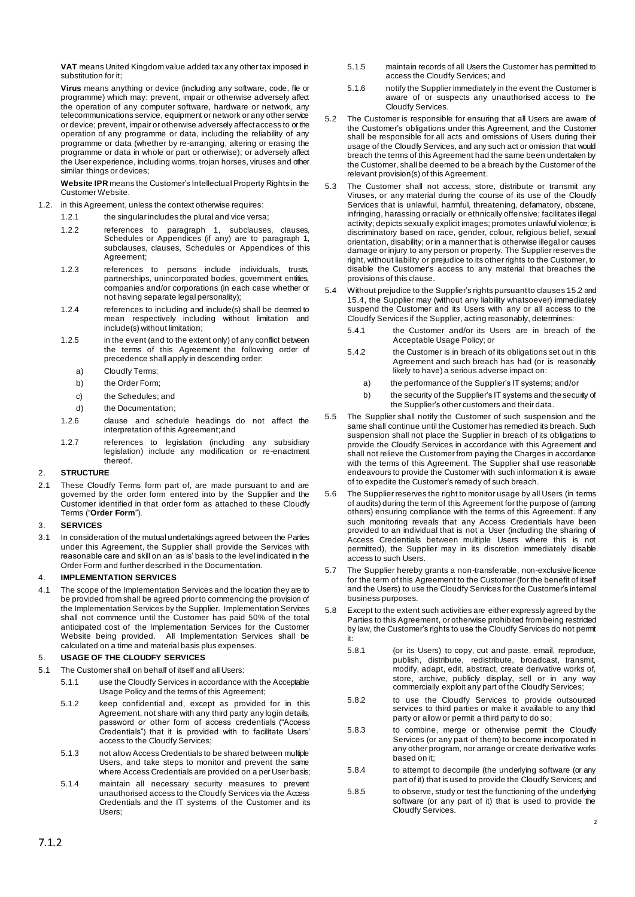**VAT** means United Kingdom value added tax any other tax imposed in substitution for it:

**Virus** means anything or device (including any software, code, file or programme) which may: prevent, impair or otherwise adversely affect the operation of any computer software, hardware or network, any telecommunications service, equipment or network or any other service or device; prevent, impair or otherwise adversely affect access to or the operation of any programme or data, including the reliability of any programme or data (whether by re-arranging, altering or erasing the programme or data in whole or part or otherwise); or adversely affect the User experience, including worms, trojan horses, viruses and other similar things or devices;

**Website IPR** means the Customer's Intellectual Property Rights in the Customer Website.

1.2. in this Agreement, unless the context otherwise requires:

1.2.1 the singular includes the plural and vice versa;

- 1.2.2 references to paragraph 1, subclauses, clauses, Schedules or Appendices (if any) are to paragraph 1, subclauses, clauses, Schedules or Appendices of this Agreement;
- 1.2.3 references to persons include individuals, trusts, partnerships, unincorporated bodies, government entities, companies and/or corporations (in each case whether or not having separate legal personality);
- 1.2.4 references to including and include(s) shall be deemed to mean respectively including without limitation and include(s) without limitation;
- 1.2.5 in the event (and to the extent only) of any conflict between the terms of this Agreement the following order of precedence shall apply in descending order:
	- a) Cloudfy Terms;
	- b) the Order Form;
	- c) the Schedules; and
	- d) the Documentation;
- 1.2.6 clause and schedule headings do not affect the interpretation of this Agreement; and
- 1.2.7 references to legislation (including any subsidiary legislation) include any modification or re-enactment thereof.

### 2. **STRUCTURE**

<span id="page-2-1"></span>2.1 These Cloudfy Terms form part of, are made pursuant to and are governed by the order form entered into by the Supplier and the Customer identified in that order form as attached to these Cloudfy Terms ("**Order Form**").

### 3. **SERVICES**

3.1 In consideration of the mutual undertakings agreed between the Parties under this Agreement, the Supplier shall provide the Services with reasonable care and skill on an 'as is' basis to the level indicated in the Order Form and further described in the Documentation.

### <span id="page-2-2"></span>4. **IMPLEMENTATION SERVICES**

4.1 The scope of the Implementation Services and the location they are to be provided from shall be agreed prior to commencing the provision of the Implementation Services by the Supplier. Implementation Services shall not commence until the Customer has paid 50% of the total anticipated cost of the Implementation Services for the Customer Website being provided. All Implementation Services shall be calculated on a time and material basis plus expenses.

### 5. **USAGE OF THE CLOUDFY SERVICES**

5.1 The Customer shall on behalf of itself and all Users:

- <span id="page-2-0"></span>5.1.1 use the Cloudfy Services in accordance with the Acceptable Usage Policy and the terms of this Agreement;
	- 5.1.2 keep confidential and, except as provided for in this Agreement, not share with any third party any login details, password or other form of access credentials ("Access Credentials") that it is provided with to facilitate Users' access to the Cloudfy Services;
- 5.1.3 not allow Access Credentials to be shared between multiple Users, and take steps to monitor and prevent the same where Access Credentials are provided on a per User basis;
- 5.1.4 maintain all necessary security measures to prevent unauthorised access to the Cloudfy Services via the Access Credentials and the IT systems of the Customer and its Users;
- 5.1.5 maintain records of all Users the Customer has permitted to access the Cloudfy Services; and
- 5.1.6 notify the Supplier immediately in the event the Customer is aware of or suspects any unauthorised access to the Cloudfy Services.
- 5.2 The Customer is responsible for ensuring that all Users are aware of the Customer's obligations under this Agreement, and the Customer shall be responsible for all acts and omissions of Users during their usage of the Cloudfy Services, and any such act or omission that would breach the terms of this Agreement had the same been undertaken by the Customer, shall be deemed to be a breach by the Customer of the relevant provision(s) of this Agreement.
- 5.3 The Customer shall not access, store, distribute or transmit any Viruses, or any material during the course of its use of the Cloudfy Services that is unlawful, harmful, threatening, defamatory, obscene, infringing, harassing or racially or ethnically offensive; facilitates illegal activity; depicts sexually explicit images; promotes unlawful violence; is discriminatory based on race, gender, colour, religious belief, sexual orientation, disability; or in a manner that is otherwise illegal or causes damage or injury to any person or property. The Supplier reserves the right, without liability or prejudice to its other rights to the Customer, to disable the Customer's access to any material that breaches the provisions of this clause.
- 5.4 Without prejudice to the Supplier's rights pursuant to clause[s 15.2](#page-5-1) and [15.4,](#page-5-2) the Supplier may (without any liability whatsoever) immediately suspend the Customer and its Users with any or all access to the Cloudfy Services if the Supplier, acting reasonably, determines:
	- 5.4.1 the Customer and/or its Users are in breach of the Acceptable Usage Policy; or
	- 5.4.2 the Customer is in breach of its obligations set out in this Agreement and such breach has had (or is reasonably likely to have) a serious adverse impact on:
		- a) the performance of the Supplier's IT systems; and/or
		- b) the security of the Supplier's IT systems and the security of the Supplier's other customers and their data.
- 5.5 The Supplier shall notify the Customer of such suspension and the same shall continue until the Customer has remedied its breach. Such suspension shall not place the Supplier in breach of its obligations to provide the Cloudfy Services in accordance with this Agreement and shall not relieve the Customer from paying the Charges in accordance with the terms of this Agreement. The Supplier shall use reasonable endeavours to provide the Customer with such information it is aware of to expedite the Customer's remedy of such breach.
- 5.6 The Supplier reserves the right to monitor usage by all Users (in terms of audits) during the term of this Agreement for the purpose of (among others) ensuring compliance with the terms of this Agreement. If any such monitoring reveals that any Access Credentials have been provided to an individual that is not a User (including the sharing of Access Credentials between multiple Users where this is not permitted), the Supplier may in its discretion immediately disable access to such Users.
- 5.7 The Supplier hereby grants a non-transferable, non-exclusive licence for the term of this Agreement to the Customer (for the benefit of itself and the Users) to use the Cloudfy Services for the Customer's internal business purposes.
- 5.8 Except to the extent such activities are either expressly agreed by the Parties to this Agreement, or otherwise prohibited from being restricted by law, the Customer's rights to use the Cloudfy Services do not permit it:
	- 5.8.1 (or its Users) to copy, cut and paste, email, reproduce, publish, distribute, redistribute, broadcast, transmit, modify, adapt, edit, abstract, create derivative works of, store, archive, publicly display, sell or in any way commercially exploit any part of the Cloudfy Services;
	- 5.8.2 to use the Cloudfy Services to provide outsourced services to third parties or make it available to any third party or allow or permit a third party to do so;
	- 5.8.3 to combine, merge or otherwise permit the Cloudfy Services (or any part of them) to become incorporated in any other program, nor arrange or create derivative works based on it;
	- 5.8.4 to attempt to decompile (the underlying software (or any part of it) that is used to provide the Cloudfy Services; and
	- 5.8.5 to observe, study or test the functioning of the underlying software (or any part of it) that is used to provide the Cloudfy Services.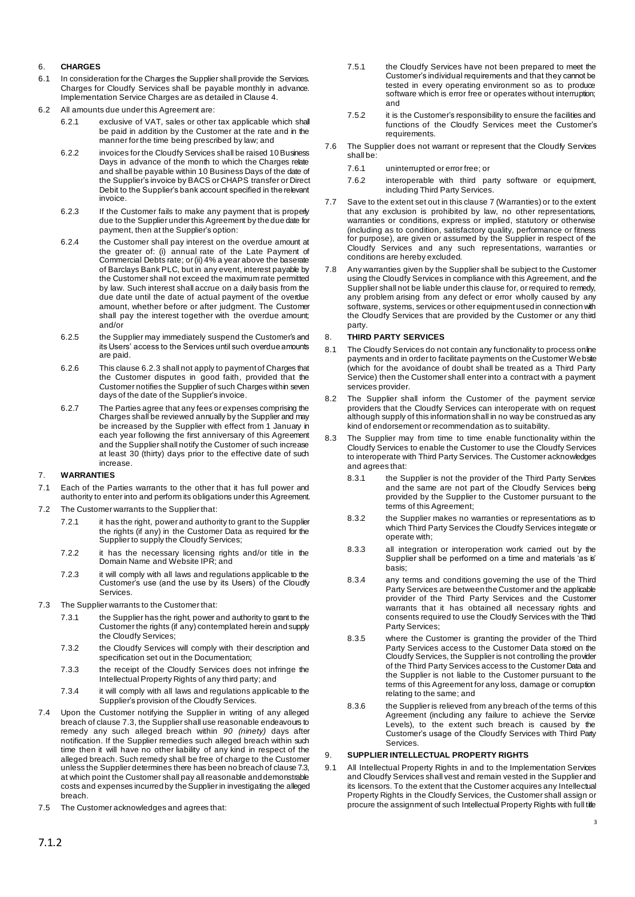### <span id="page-3-0"></span>6. **CHARGES**

- 6.1 In consideration for the Charges the Supplier shall provide the Services. Charges for Cloudfy Services shall be payable monthly in advance. Implementation Service Charges are as detailed in Clause [4](#page-2-2).
- <span id="page-3-1"></span>6.2 All amounts due under this Agreement are:
	- 6.2.1 exclusive of VAT, sales or other tax applicable which shall be paid in addition by the Customer at the rate and in the manner for the time being prescribed by law; and
	- 6.2.2 invoices for the Cloudfy Services shall be raised 10 Business Days in advance of the month to which the Charges relate and shall be payable within 10 Business Days of the date of the Supplier's invoice by BACS or CHAPS transfer or Direct Debit to the Supplier's bank account specified in the relevant invoice.
	- 6.2.3 If the Customer fails to make any payment that is properly due to the Supplier under this Agreement by the due date for payment, then at the Supplier's option:
	- 6.2.4 the Customer shall pay interest on the overdue amount at the greater of: (i) annual rate of the Late Payment of Commercial Debts rate; or (ii) 4% a year above the baserate of Barclays Bank PLC, but in any event, interest payable by the Customer shall not exceed the maximum rate permitted by law. Such interest shall accrue on a daily basis from the due date until the date of actual payment of the overdue amount, whether before or after judgment. The Customer shall pay the interest together with the overdue amount; and/or
	- 6.2.5 the Supplier may immediately suspend the Customer's and its Users' access to the Services until such overdue amounts are paid.
	- 6.2.6 This claus[e 6.2.3](#page-3-1) shall not apply to payment of Charges that the Customer disputes in good faith, provided that the Customer notifies the Supplier of such Charges within seven days of the date of the Supplier's invoice.
	- 6.2.7 The Parties agree that any fees or expenses comprising the Charges shall be reviewed annually by the Supplier and may be increased by the Supplier with effect from 1 January in each year following the first anniversary of this Agreement and the Supplier shall notify the Customer of such increase at least 30 (thirty) days prior to the effective date of such increase.

### <span id="page-3-3"></span>7. **WARRANTIES**

- 7.1 Each of the Parties warrants to the other that it has full power and authority to enter into and perform its obligations under this Agreement.
- 7.2 The Customer warrants to the Supplier that:
	- 7.2.1 it has the right, power and authority to grant to the Supplier the rights (if any) in the Customer Data as required for the Supplier to supply the Cloudfy Services;
	- 7.2.2 it has the necessary licensing rights and/or title in the Domain Name and Website IPR; and
	- 7.2.3 it will comply with all laws and regulations applicable to the Customer's use (and the use by its Users) of the Cloudfy **Services**
- <span id="page-3-2"></span>7.3 The Supplier warrants to the Customer that:
	- 7.3.1 the Supplier has the right, power and authority to grant to the Customer the rights (if any) contemplated herein and supply the Cloudfy Services;
	- 7.3.2 the Cloudfy Services will comply with their description and specification set out in the Documentation;
	- 7.3.3 the receipt of the Cloudfy Services does not infringe the Intellectual Property Rights of any third party; and
	- 7.3.4 it will comply with all laws and regulations applicable to the Supplier's provision of the Cloudfy Services.
- 7.4 Upon the Customer notifying the Supplier in writing of any alleged breach of claus[e 7.3,](#page-3-2) the Supplier shall use reasonable endeavours to remedy any such alleged breach within *90 (ninety)* days after notification. If the Supplier remedies such alleged breach within such time then it will have no other liability of any kind in respect of the alleged breach. Such remedy shall be free of charge to the Customer unless the Supplier determines there has been no breach of claus[e 7.3,](#page-3-2)  at which point the Customer shall pay all reasonable and demonstrable costs and expenses incurred by the Supplier in investigating the alleged breach.
- 7.5 The Customer acknowledges and agrees that:
- 7.5.1 the Cloudfy Services have not been prepared to meet the Customer's individual requirements and that they cannot be tested in every operating environment so as to produce software which is error free or operates without interruption; and
- 7.5.2 it is the Customer's responsibility to ensure the facilities and functions of the Cloudfy Services meet the Customer's requirements.
- 7.6 The Supplier does not warrant or represent that the Cloudfy Services shall be:
	- 7.6.1 uninterrupted or error free; or
	- 7.6.2 interoperable with third party software or equipment, including Third Party Services.
- 7.7 Save to the extent set out in this claus[e 7](#page-3-3) (Warranties) or to the extent that any exclusion is prohibited by law, no other representations, warranties or conditions, express or implied, statutory or otherwise (including as to condition, satisfactory quality, performance or fitness for purpose), are given or assumed by the Supplier in respect of the Cloudfy Services and any such representations, warranties or conditions are hereby excluded.
- 7.8 Any warranties given by the Supplier shall be subject to the Customer using the Cloudfy Services in compliance with this Agreement, and the Supplier shall not be liable under this clause for, or required to remedy, any problem arising from any defect or error wholly caused by any software, systems, services or other equipment used in connection with the Cloudfy Services that are provided by the Customer or any third party.

### 8. **THIRD PARTY SERVICES**

- 8.1 The Cloudfy Services do not contain any functionality to process on line payments and in order to facilitate payments on the Customer Website (which for the avoidance of doubt shall be treated as a Third Party Service) then the Customer shall enter into a contract with a payment services provider.
- 8.2 The Supplier shall inform the Customer of the payment service providers that the Cloudfy Services can interoperate with on request although supply of this information shall in no way be construed as any kind of endorsement or recommendation as to suitability.
- 8.3 The Supplier may from time to time enable functionality within the Cloudfy Services to enable the Customer to use the Cloudfy Services to interoperate with Third Party Services. The Customer acknowledges and agrees that:
	- 8.3.1 the Supplier is not the provider of the Third Party Services and the same are not part of the Cloudfy Services being provided by the Supplier to the Customer pursuant to the terms of this Agreement;
	- 8.3.2 the Supplier makes no warranties or representations as to which Third Party Services the Cloudfy Services integrate or operate with;
	- 8.3.3 all integration or interoperation work carried out by the Supplier shall be performed on a time and materials 'as is' basis;
	- 8.3.4 any terms and conditions governing the use of the Third Party Services are between the Customer and the applicable provider of the Third Party Services and the Customer warrants that it has obtained all necessary rights and consents required to use the Cloudfy Services with the Third Party Services;
	- 8.3.5 where the Customer is granting the provider of the Third Party Services access to the Customer Data stored on the Cloudfy Services, the Supplier is not controlling the provider of the Third Party Services access to the Customer Data and the Supplier is not liable to the Customer pursuant to the terms of this Agreement for any loss, damage or corruption relating to the same; and
	- 8.3.6 the Supplier is relieved from any breach of the terms of this Agreement (including any failure to achieve the Service Levels), to the extent such breach is caused by the Customer's usage of the Cloudfy Services with Third Party Services.

### 9. **SUPPLIER INTELLECTUAL PROPERTY RIGHTS**

9.1 All Intellectual Property Rights in and to the Implementation Services and Cloudfy Services shall vest and remain vested in the Supplier and its licensors. To the extent that the Customer acquires any Intellectual Property Rights in the Cloudfy Services, the Customer shall assign or procure the assignment of such Intellectual Property Rights with full title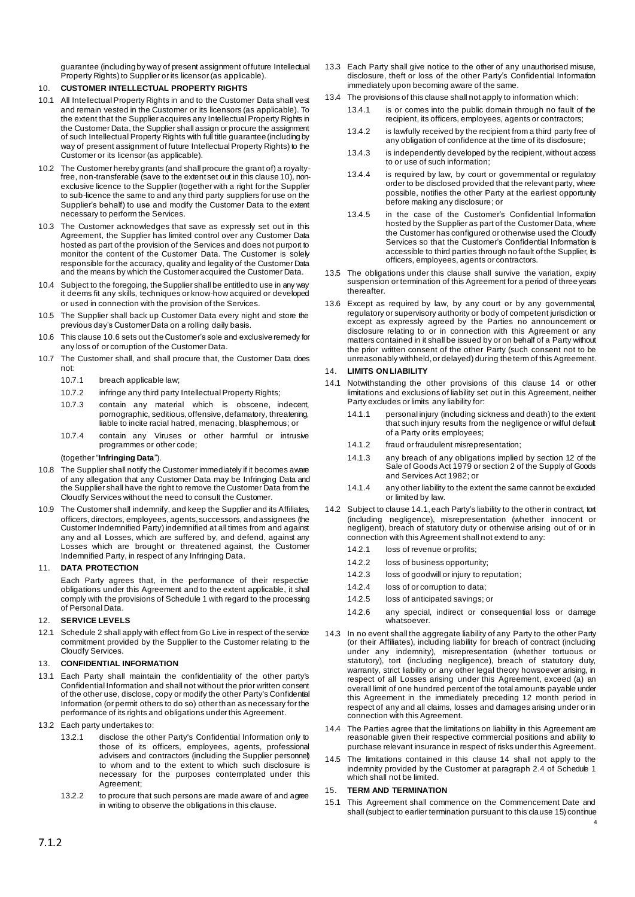guarantee (including by way of present assignment of future Intellectual Property Rights) to Supplier or its licensor (as applicable).

# <span id="page-4-0"></span>10. **CUSTOMER INTELLECTUAL PROPERTY RIGHTS**

- 10.1 All Intellectual Property Rights in and to the Customer Data shall vest and remain vested in the Customer or its licensors (as applicable). To the extent that the Supplier acquires any Intellectual Property Rights in the Customer Data, the Supplier shall assign or procure the assignment of such Intellectual Property Rights with full title guarantee (including by way of present assignment of future Intellectual Property Rights) to the Customer or its licensor (as applicable).
- 10.2 The Customer hereby grants (and shall procure the grant of) a royaltyfree, non-transferable (save to the extent set out in this claus[e 10\)](#page-4-0), nonexclusive licence to the Supplier (together with a right for the Supplier to sub-licence the same to and any third party suppliers for use on the Supplier's behalf) to use and modify the Customer Data to the extent necessary to perform the Services.
- 10.3 The Customer acknowledges that save as expressly set out in this Agreement, the Supplier has limited control over any Customer Data hosted as part of the provision of the Services and does not purport to monitor the content of the Customer Data. The Customer is solely responsible for the accuracy, quality and legality of the Customer Data and the means by which the Customer acquired the Customer Data.
- 10.4 Subject to the foregoing, the Supplier shall be entitled to use in any way it deems fit any skills, techniques or know-how acquired or developed or used in connection with the provision of the Services.
- 10.5 The Supplier shall back up Customer Data every night and store the previous day's Customer Data on a rolling daily basis.
- <span id="page-4-1"></span>10.6 This claus[e 10.6](#page-4-1) sets out the Customer's sole and exclusive remedy for any loss of or corruption of the Customer Data.
- 10.7 The Customer shall, and shall procure that, the Customer Data does not:
	- 10.7.1 breach applicable law;
	- 10.7.2 infringe any third party Intellectual Property Rights;
	- 10.7.3 contain any material which is obscene, indecent, pornographic, seditious, offensive, defamatory, threatening, liable to incite racial hatred, menacing, blasphemous; or
	- 10.7.4 contain any Viruses or other harmful or intrusive programmes or other code;

#### (together "**Infringing Data**").

- 10.8 The Supplier shall notify the Customer immediately if it becomes aware of any allegation that any Customer Data may be Infringing Data and the Supplier shall have the right to remove the Customer Data from the Cloudfy Services without the need to consult the Customer.
- <span id="page-4-4"></span>10.9 The Customer shall indemnify, and keep the Supplier and its Affiliates, officers, directors, employees, agents, successors, and assignees (the Customer Indemnified Party) indemnified at all times from and against any and all Losses, which are suffered by, and defend, against any Losses which are brought or threatened against, the Customer Indemnified Party, in respect of any Infringing Data.

#### 11. **DATA PROTECTION**

Each Party agrees that, in the performance of their respective obligations under this Agreement and to the extent applicable, it shall comply with the provisions of Schedule 1 with regard to the processing of Personal Data.

### 12. **SERVICE LEVELS**

12.1 Schedule 2 shall apply with effect from Go Live in respect of the service commitment provided by the Supplier to the Customer relating to the Cloudfy Services.

### 13. **CONFIDENTIAL INFORMATION**

- 13.1 Each Party shall maintain the confidentiality of the other party's Confidential Information and shall not without the prior written consent of the other use, disclose, copy or modify the other Party's Confidential Information (or permit others to do so) other than as necessary for the performance of its rights and obligations under this Agreement.
- 13.2 Each party undertakes to:
	- 13.2.1 disclose the other Party's Confidential Information only to those of its officers, employees, agents, professional advisers and contractors (including the Supplier personnel) to whom and to the extent to which such disclosure is necessary for the purposes contemplated under this Agreement;
	- 13.2.2 to procure that such persons are made aware of and agree in writing to observe the obligations in this clause.
- 13.3 Each Party shall give notice to the other of any unauthorised misuse, disclosure, theft or loss of the other Party's Confidential Information immediately upon becoming aware of the same.
- 13.4 The provisions of this clause shall not apply to information which:
	- 13.4.1 is or comes into the public domain through no fault of the recipient, its officers, employees, agents or contractors;
	- 13.4.2 is lawfully received by the recipient from a third party free of any obligation of confidence at the time of its disclosure;
	- 13.4.3 is independently developed by the recipient, without access to or use of such information;
	- 13.4.4 is required by law, by court or governmental or regulatory order to be disclosed provided that the relevant party, where possible, notifies the other Party at the earliest opportunity before making any disclosure; or
	- 13.4.5 in the case of the Customer's Confidential Information hosted by the Supplier as part of the Customer Data, where the Customer has configured or otherwise used the Cloudfy Services so that the Customer's Confidential Information is accessible to third parties through no fault of the Supplier, its officers, employees, agents or contractors.
- 13.5 The obligations under this clause shall survive the variation, expiry suspension or termination of this Agreement for a period of three years thereafter.
- 13.6 Except as required by law, by any court or by any governmental, regulatory or supervisory authority or body of competent jurisdiction or except as expressly agreed by the Parties no announcement or disclosure relating to or in connection with this Agreement or any matters contained in it shall be issued by or on behalf of a Party without the prior written consent of the other Party (such consent not to be unreasonably withheld, or delayed) during the term of this Agreement.

#### <span id="page-4-5"></span>14. **LIMITS ON LIABILITY**

- <span id="page-4-2"></span>14.1 Notwithstanding the other provisions of this clause 14 or other limitations and exclusions of liability set out in this Agreement, neither Party excludes or limits any liability for:
	- 14.1.1 personal injury (including sickness and death) to the extent that such injury results from the negligence or wilful default of a Party or its employees;
	- 14.1.2 fraud or fraudulent misrepresentation;
	- 14.1.3 any breach of any obligations implied by section 12 of the Sale of Goods Act 1979 or section 2 of the Supply of Goods and Services Act 1982; or
	- 14.1.4 any other liability to the extent the same cannot be excluded or limited by law.
- 14.2 Subject to claus[e 14.1](#page-4-2), each Party's liability to the other in contract, tort (including negligence), misrepresentation (whether innocent or negligent), breach of statutory duty or otherwise arising out of or in connection with this Agreement shall not extend to any:
	- 14.2.1 loss of revenue or profits
	- 14.2.2 loss of business opportunity;
	- 14.2.3 loss of goodwill or injury to reputation;
	- 14.2.4 loss of or corruption to data;
	- 14.2.5 loss of anticipated savings; or
	- 14.2.6 any special, indirect or consequential loss or damage whatsoever.
- 14.3 In no event shall the aggregate liability of any Party to the other Party (or their Affiliates), including liability for breach of contract (including under any indemnity), misrepresentation (whether tortuous or statutory), tort (including negligence), breach of statutory duty, warranty, strict liability or any other legal theory howsoever arising, in respect of all Losses arising under this Agreement, exceed (a) an overall limit of one hundred percent of the total amounts payable under this Agreement in the immediately preceding 12 month period in respect of any and all claims, losses and damages arising under or in connection with this Agreement.
- 14.4 The Parties agree that the limitations on liability in this Agreement are reasonable given their respective commercial positions and ability to purchase relevant insurance in respect of risks under this Agreement.
- 14.5 The limitations contained in this clause 14 shall not apply to the indemnity provided by the Customer at paragraph 2.4 of Schedule 1 which shall not be limited.

### <span id="page-4-3"></span>15. **TERM AND TERMINATION**

15.1 This Agreement shall commence on the Commencement Date and shall (subject to earlier termination pursuant to this claus[e 15\)](#page-4-3) continue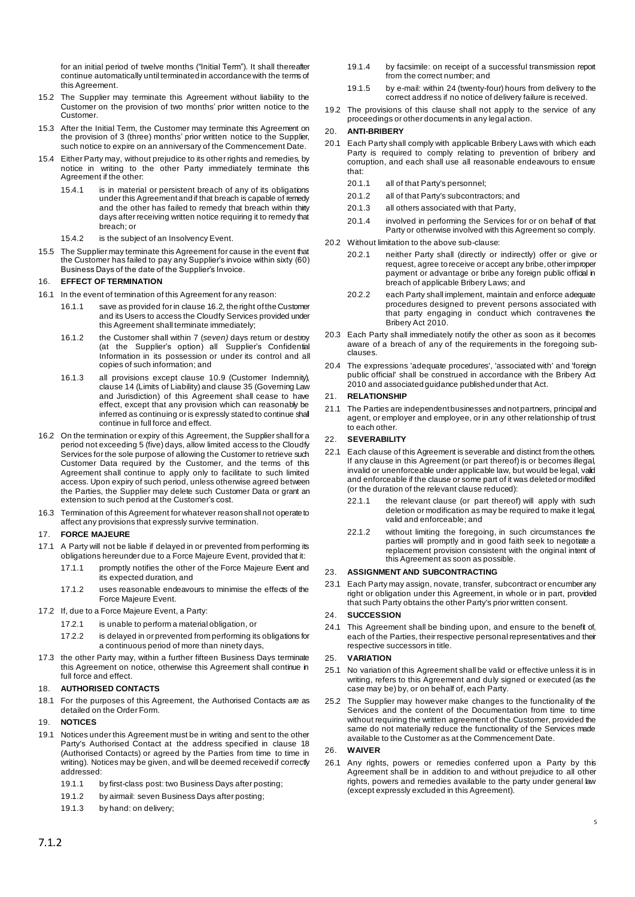for an initial period of twelve months ("Initial Term"). It shall thereafter continue automatically until terminated in accordance with the terms of this Agreement.

- <span id="page-5-1"></span>15.2 The Supplier may terminate this Agreement without liability to the Customer on the provision of two months' prior written notice to the Customer.
- 15.3 After the Initial Term, the Customer may terminate this Agreement on the provision of 3 (three) months' prior written notice to the Supplier, such notice to expire on an anniversary of the Commencement Date.
- <span id="page-5-2"></span>15.4 Either Party may, without prejudice to its other rights and remedies, by notice in writing to the other Party immediately terminate this Agreement if the other:
	- 15.4.1 is in material or persistent breach of any of its obligations under this Agreementand if that breach is capable of remedy and the other has failed to remedy that breach within thirty days after receiving written notice requiring it to remedy that breach; or
	- 15.4.2 is the subject of an Insolvency Event.
- 15.5 The Supplier may terminate this Agreement for cause in the event that the Customer has failed to pay any Supplier's invoice within sixty (60) Business Days of the date of the Supplier's Invoice.

#### 16. **EFFECT OF TERMINATION**

- 16.1 In the event of termination of this Agreement for any reason:
	- 16.1.1 save as provided for in claus[e 16.2](#page-5-3), the right of the Customer and its Users to access the Cloudfy Services provided under this Agreement shall terminate immediately;
	- 16.1.2 the Customer shall within 7 (*seven)* days return or destroy (at the Supplier's option) all Supplier's Confidential Information in its possession or under its control and all copies of such information; and
	- 16.1.3 all provisions except clause [10.9](#page-4-4) (Customer Indemnity), claus[e 14](#page-4-5) (Limits of Liability) and claus[e 35](#page-6-0) (Governing Law and Jurisdiction) of this Agreement shall cease to have effect, except that any provision which can reasonably be inferred as continuing or is expressly stated to continue shall continue in full force and effect.
- <span id="page-5-3"></span>16.2 On the termination or expiry of this Agreement, the Supplier shall for a period not exceeding 5 (five) days, allow limited access to the Cloudfy Services for the sole purpose of allowing the Customer to retrieve such Customer Data required by the Customer, and the terms of this Agreement shall continue to apply only to facilitate to such limited access. Upon expiry of such period, unless otherwise agreed between the Parties, the Supplier may delete such Customer Data or grant an extension to such period at the Customer's cost.
- 16.3 Termination of this Agreement for whatever reason shall not operate to affect any provisions that expressly survive termination.

#### 17. **FORCE MAJEURE**

- 17.1 A Party will not be liable if delayed in or prevented from performing its obligations hereunder due to a Force Majeure Event, provided that it:
	- 17.1.1 promptly notifies the other of the Force Majeure Event and its expected duration, and
	- 17.1.2 uses reasonable endeavours to minimise the effects of the Force Majeure Event.
- 17.2 If, due to a Force Majeure Event, a Party:
	- 17.2.1 is unable to perform a material obligation, or
	- 17.2.2 is delayed in or prevented from performing its obligations for a continuous period of more than ninety days,
- 17.3 the other Party may, within a further fifteen Business Days terminate this Agreement on notice, otherwise this Agreement shall continue in full force and effect.

#### <span id="page-5-0"></span>18. **AUTHORISED CONTACTS**

18.1 For the purposes of this Agreement, the Authorised Contacts are as detailed on the Order Form.

### 19. **NOTICES**

- 19.1 Notices under this Agreement must be in writing and sent to the other Party's Authorised Contact at the address specified in clause [18](#page-5-0) (Authorised Contacts) or agreed by the Parties from time to time in writing). Notices may be given, and will be deemed received if correctly addressed:
	- 19.1.1 by first-class post: two Business Days after posting;
	- 19.1.2 by airmail: seven Business Days after posting;
	- 19.1.3 by hand: on delivery;
- 19.1.4 by facsimile: on receipt of a successful transmission report from the correct number; and
- 19.1.5 by e-mail: within 24 (twenty-four) hours from delivery to the correct address if no notice of delivery failure is received.
- 19.2 The provisions of this clause shall not apply to the service of any proceedings or other documents in any legal action.

#### 20. **ANTI-BRIBERY**

- 20.1 Each Party shall comply with applicable Bribery Laws with which each Party is required to comply relating to prevention of bribery and corruption, and each shall use all reasonable endeavours to ensure that:
	- 20.1.1 all of that Party's personnel;
	- 20.1.2 all of that Party's subcontractors; and
	- 20.1.3 all others associated with that Party,
	- 20.1.4 involved in performing the Services for or on behalf of that Party or otherwise involved with this Agreement so comply.
- 20.2 Without limitation to the above sub-clause:
	- 20.2.1 neither Party shall (directly or indirectly) offer or give or request, agree to receive or accept any bribe, other improper payment or advantage or bribe any foreign public official in breach of applicable Bribery Laws; and
	- 20.2.2 each Party shall implement, maintain and enforce adequate procedures designed to prevent persons associated with that party engaging in conduct which contravenes the Bribery Act 2010.
- 20.3 Each Party shall immediately notify the other as soon as it becomes aware of a breach of any of the requirements in the foregoing subclauses.
- 20.4 The expressions 'adequate procedures', 'associated with' and 'foreign public official' shall be construed in accordance with the Bribery Act 2010 and associated guidance published under that Act.

### 21. **RELATIONSHIP**

21.1 The Parties are independent businesses and not partners, principal and agent, or employer and employee, or in any other relationship of trust to each other.

#### 22. **SEVERABILITY**

- 22.1 Each clause of this Agreement is severable and distinct from the others. If any clause in this Agreement (or part thereof) is or becomes illegal, invalid or unenforceable under applicable law, but would be legal, valid and enforceable if the clause or some part of it was deleted or modified (or the duration of the relevant clause reduced):
	- 22.1.1 the relevant clause (or part thereof) will apply with such deletion or modification as may be required to make it legal, valid and enforceable; and
	- 22.1.2 without limiting the foregoing, in such circumstances the parties will promptly and in good faith seek to negotiate a replacement provision consistent with the original intent of this Agreement as soon as possible.

### 23. **ASSIGNMENT AND SUBCONTRACTING**

23.1 Each Party may assign, novate, transfer, subcontract or encumber any right or obligation under this Agreement, in whole or in part, provided that such Party obtains the other Party's prior written consent.

#### 24. **SUCCESSION**

24.1 This Agreement shall be binding upon, and ensure to the benefit of, each of the Parties, their respective personal representatives and their respective successors in title.

### 25. **VARIATION**

- 25.1 No variation of this Agreement shall be valid or effective unless it is in writing, refers to this Agreement and duly signed or executed (as the case may be) by, or on behalf of, each Party.
- 25.2 The Supplier may however make changes to the functionality of the Services and the content of the Documentation from time to time without requiring the written agreement of the Customer, provided the same do not materially reduce the functionality of the Services made available to the Customer as at the Commencement Date.

### 26. **WAIVER**

26.1 Any rights, powers or remedies conferred upon a Party by this Agreement shall be in addition to and without prejudice to all other rights, powers and remedies available to the party under general law (except expressly excluded in this Agreement).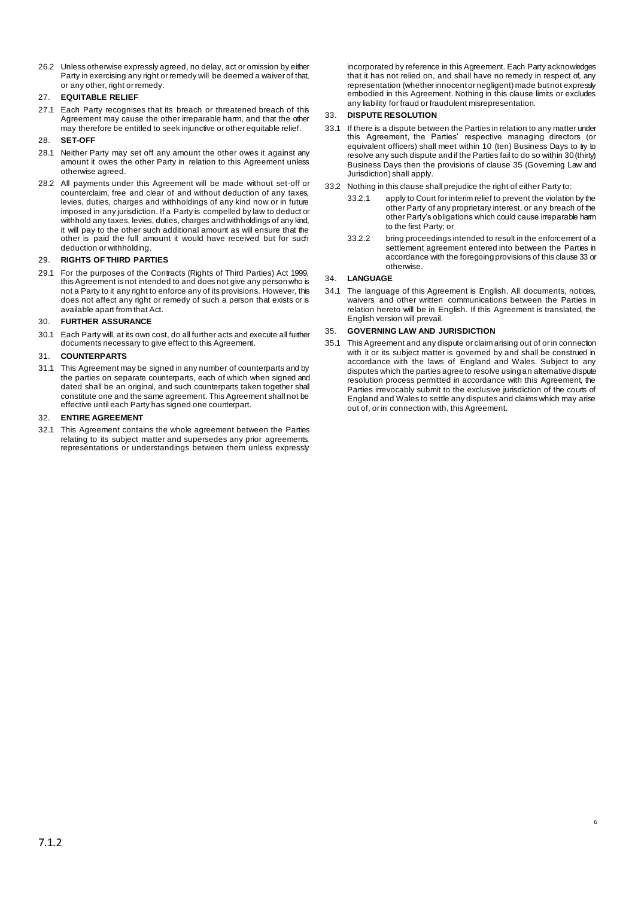26.2 Unless otherwise expressly agreed, no delay, act or omission by either Party in exercising any right or remedy will be deemed a waiver of that, or any other, right or remedy.

### 27. **EQUITABLE RELIEF**

27.1 Each Party recognises that its breach or threatened breach of this Agreement may cause the other irreparable harm, and that the other may therefore be entitled to seek injunctive or other equitable relief.

### 28. **SET-OFF**

- 28.1 Neither Party may set off any amount the other owes it against any amount it owes the other Party in relation to this Agreement unless otherwise agreed.
- 28.2 All payments under this Agreement will be made without set-off or counterclaim, free and clear of and without deduction of any taxes, levies, duties, charges and withholdings of any kind now or in future imposed in any jurisdiction. If a Party is compelled by law to deduct or withhold any taxes, levies, duties, charges and withholdings of any kind, it will pay to the other such additional amount as will ensure that the other is paid the full amount it would have received but for such deduction or withholding.

### 29. **RIGHTS OF THIRD PARTIES**

29.1 For the purposes of the Contracts (Rights of Third Parties) Act 1999, this Agreement is not intended to and does not give any person who is not a Party to it any right to enforce any of its provisions. However, this does not affect any right or remedy of such a person that exists or is available apart from that Act.

### 30. **FURTHER ASSURANCE**

30.1 Each Party will, at its own cost, do all further acts and execute all further documents necessary to give effect to this Agreement.

### 31. **COUNTERPARTS**

31.1 This Agreement may be signed in any number of counterparts and by the parties on separate counterparts, each of which when signed and dated shall be an original, and such counterparts taken together shall constitute one and the same agreement. This Agreement shall not be effective until each Party has signed one counterpart.

### 32. **ENTIRE AGREEMENT**

32.1 This Agreement contains the whole agreement between the Parties relating to its subject matter and supersedes any prior agreements, representations or understandings between them unless expressly

incorporated by reference in this Agreement. Each Party acknowledges that it has not relied on, and shall have no remedy in respect of, any representation (whether innocent or negligent) made but not expressly embodied in this Agreement. Nothing in this clause limits or excludes any liability for fraud or fraudulent misrepresentation.

### <span id="page-6-1"></span>33. **DISPUTE RESOLUTION**

- 33.1 If there is a dispute between the Parties in relation to any matter under this Agreement, the Parties' respective managing directors (or equivalent officers) shall meet within 10 (ten) Business Days to try to resolve any such dispute and if the Parties fail to do so within 30 (thirty) Business Days then the provisions of claus[e 35](#page-6-0) (Governing Law and Jurisdiction) shall apply.
- 33.2 Nothing in this clause shall prejudice the right of either Party to:
	- 33.2.1 apply to Court for interim relief to prevent the violation by the other Party of any proprietary interest, or any breach of the other Party's obligations which could cause irreparable harm to the first Party; or
	- 33.2.2 bring proceedings intended to result in the enforcement of a settlement agreement entered into between the Parties in accordance with the foregoing provisions of this claus[e 33](#page-6-1) or otherwise.

### 34. **LANGUAGE**

34.1 The language of this Agreement is English. All documents, notices, waivers and other written communications between the Parties in relation hereto will be in English. If this Agreement is translated, the English version will prevail.

### <span id="page-6-0"></span>35. **GOVERNING LAW AND JURISDICTION**

35.1 This Agreement and any dispute or claim arising out of or in connection with it or its subject matter is governed by and shall be construed in accordance with the laws of England and Wales. Subject to any disputes which the parties agree to resolve using an alternative dispute resolution process permitted in accordance with this Agreement, the Parties irrevocably submit to the exclusive jurisdiction of the courts of England and Wales to settle any disputes and claims which may arise out of, or in connection with, this Agreement.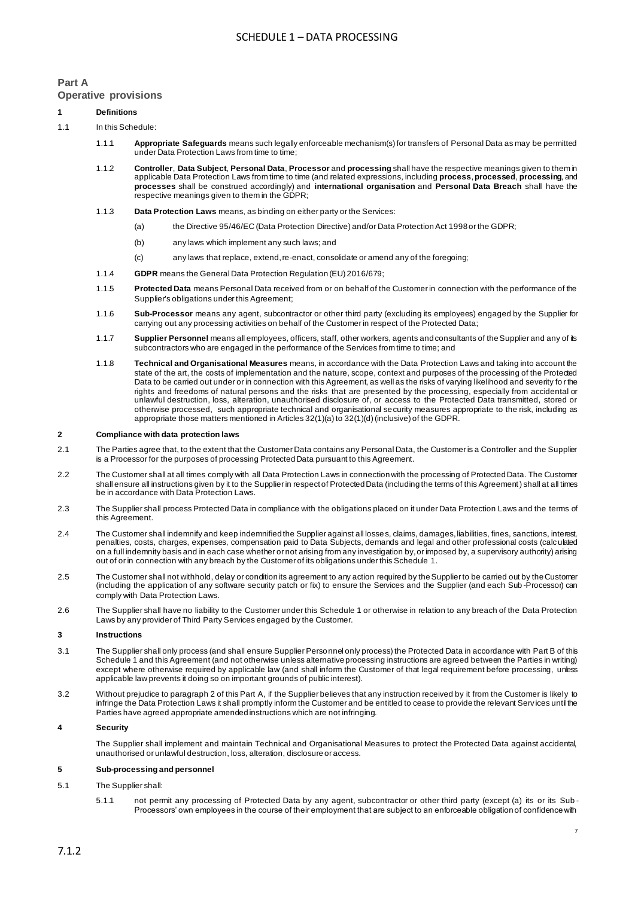### **Part A Operative provisions**

# <span id="page-7-1"></span>**1 Definitions**

### 1.1 In this Schedule:

- 1.1.1 **Appropriate Safeguards** means such legally enforceable mechanism(s) for transfers of Personal Data as may be permitted under Data Protection Laws from time to time;
- 1.1.2 **Controller**, **Data Subject**, **Personal Data**, **Processor** and **processing** shall have the respective meanings given to them in applicable Data Protection Laws from time to time (and related expressions, including **process**, **processed**, **processing**, and **processes** shall be construed accordingly) and **international organisation** and **Personal Data Breach** shall have the respective meanings given to them in the GDPR;
- 1.1.3 **Data Protection Laws** means, as binding on either party or the Services:
	- (a) the Directive 95/46/EC (Data Protection Directive) and/or Data Protection Act 1998 or the GDPR;
	- (b) any laws which implement any such laws; and
	- (c) any laws that replace, extend, re-enact, consolidate or amend any of the foregoing;
- 1.1.4 **GDPR** means the General Data Protection Regulation (EU) 2016/679;
- 1.1.5 **Protected Data** means Personal Data received from or on behalf of the Customer in connection with the performance of the Supplier's obligations under this Agreement;
- 1.1.6 **Sub-Processor** means any agent, subcontractor or other third party (excluding its employees) engaged by the Supplier for carrying out any processing activities on behalf of the Customer in respect of the Protected Data;
- 1.1.7 **Supplier Personnel** means all employees, officers, staff, other workers, agents and consultants of the Supplier and any of its subcontractors who are engaged in the performance of the Services from time to time; and
- 1.1.8 **Technical and Organisational Measures** means, in accordance with the Data Protection Laws and taking into account the state of the art, the costs of implementation and the nature, scope, context and purposes of the processing of the Protected Data to be carried out under or in connection with this Agreement, as well as the risks of varying likelihood and severity fo r the rights and freedoms of natural persons and the risks that are presented by the processing, especially from accidental or unlawful destruction, loss, alteration, unauthorised disclosure of, or access to the Protected Data transmitted, stored or otherwise processed, such appropriate technical and organisational security measures appropriate to the risk, including as appropriate those matters mentioned in Articles 32(1)(a) to 32(1)(d) (inclusive) of the GDPR.

#### <span id="page-7-0"></span>**2 Compliance with data protection laws**

- 2.1 The Parties agree that, to the extent that the Customer Data contains any Personal Data, the Customer is a Controller and the Supplier is a Processor for the purposes of processing Protected Data pursuant to this Agreement.
- 2.2 The Customer shall at all times comply with all Data Protection Laws in connection with the processing of Protected Data. The Customer shall ensure all instructions given by it to the Supplier in respect of Protected Data (including the terms of this Agreement) shall at all times be in accordance with Data Protection Laws.
- 2.3 The Supplier shall process Protected Data in compliance with the obligations placed on it under Data Protection Laws and the terms of this Agreement.
- 2.4 The Customer shall indemnify and keep indemnified the Supplier against all losses, claims, damages, liabilities, fines, sanctions, interest, penalties, costs, charges, expenses, compensation paid to Data Subjects, demands and legal and other professional costs (calc ulated on a full indemnity basis and in each case whether or not arising from any investigation by, or imposed by, a supervisory authority) arising out of or in connection with any breach by the Customer of its obligations under this Schedule 1.
- 2.5 The Customer shall not withhold, delay or condition its agreement to any action required by the Supplier to be carried out by the Customer (including the application of any software security patch or fix) to ensure the Services and the Supplier (and each Sub -Processor) can comply with Data Protection Laws.
- 2.6 The Supplier shall have no liability to the Customer under this Schedule 1 or otherwise in relation to any breach of the Data Protection Laws by any provider of Third Party Services engaged by the Customer.

### **3 Instructions**

- <span id="page-7-2"></span>3.1 The Supplier shall only process (and shall ensure Supplier Personnel only process) the Protected Data in accordance wit[h Part B](#page-8-0) of this Schedule 1 and this Agreement (and not otherwise unless alternative processing instructions are agreed between the Parties in writing) except where otherwise required by applicable law (and shall inform the Customer of that legal requirement before processing, unless applicable law prevents it doing so on important grounds of public interest).
- 3.2 Without prejudice to paragrap[h 2](#page-7-0) of thi[s Part A,](#page-7-1) if the Supplier believes that any instruction received by it from the Customer is likely to infringe the Data Protection Laws it shall promptly inform the Customer and be entitled to cease to provide the relevant Serv ices until the Parties have agreed appropriate amended instructions which are not infringing.

#### **4 Security**

The Supplier shall implement and maintain Technical and Organisational Measures to protect the Protected Data against accidental, unauthorised or unlawful destruction, loss, alteration, disclosure or access.

#### **5 Sub-processing and personnel**

### 5.1 The Supplier shall:

5.1.1 not permit any processing of Protected Data by any agent, subcontractor or other third party (except (a) its or its Sub - Processors' own employees in the course of their employment that are subject to an enforceable obligation of confidence with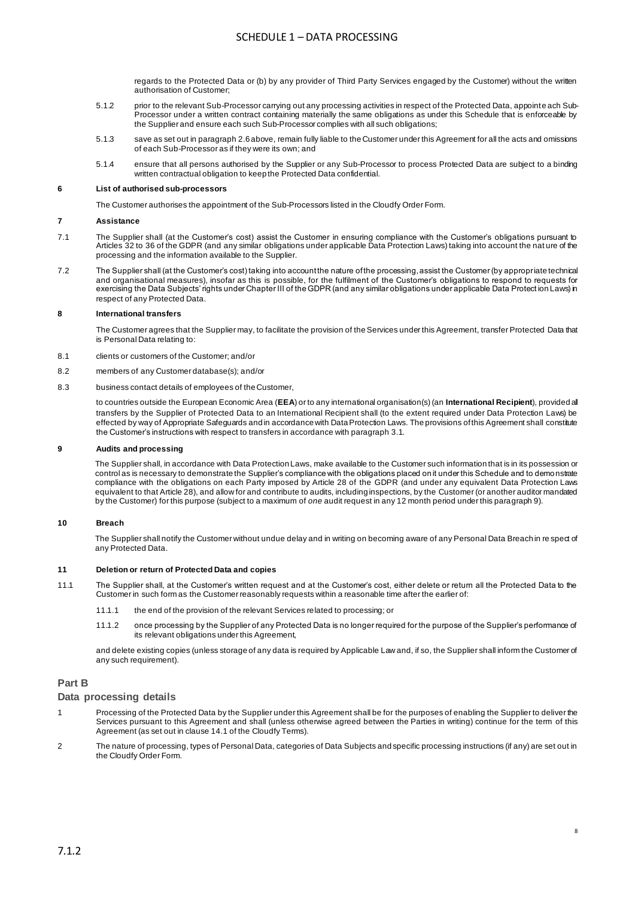regards to the Protected Data or (b) by any provider of Third Party Services engaged by the Customer) without the written authorisation of Customer;

- 5.1.2 prior to the relevant Sub-Processor carrying out any processing activities in respect of the Protected Data, appoint e ach Sub-Processor under a written contract containing materially the same obligations as under this Schedule that is enforceable by the Supplier and ensure each such Sub-Processor complies with all such obligations;
- 5.1.3 save as set out in paragraph 2.6 above, remain fully liable to the Customer under this Agreement for all the acts and omissions of each Sub-Processor as if they were its own; and
- 5.1.4 ensure that all persons authorised by the Supplier or any Sub-Processor to process Protected Data are subject to a binding written contractual obligation to keep the Protected Data confidential.

#### **6 List of authorised sub-processors**

The Customer authorises the appointment of the Sub-Processors listed in the Cloudfy Order Form.

#### **7 Assistance**

- 7.1 The Supplier shall (at the Customer's cost) assist the Customer in ensuring compliance with the Customer's obligations pursuant to Articles 32 to 36 of the GDPR (and any similar obligations under applicable Data Protection Laws) taking into account the nat ure of the processing and the information available to the Supplier.
- 7.2 The Supplier shall (at the Customer's cost) taking into account the nature of the processing, assist the Customer (by appropriate technical and organisational measures), insofar as this is possible, for the fulfilment of the Customer's obligations to respond to requests for exercising the Data Subjects' rights under Chapter III of the GDPR (and any similar obligations under applicable Data Protect ion Laws) in respect of any Protected Data.

#### **8 International transfers**

The Customer agrees that the Supplier may, to facilitate the provision of the Services under this Agreement, transfer Protected Data that is Personal Data relating to:

- 8.1 clients or customers of the Customer; and/or
- 8.2 members of any Customer database(s); and/or
- 8.3 business contact details of employees of the Customer,

to countries outside the European Economic Area (**EEA**) or to any international organisation(s) (an **International Recipient**), provided all transfers by the Supplier of Protected Data to an International Recipient shall (to the extent required under Data Protection Laws) be effected by way of Appropriate Safeguards and in accordance with Data Protection Laws. The provisions of this Agreement shall constitute the Customer's instructions with respect to transfers in accordance with paragrap[h 3.1](#page-7-2).

#### **9 Audits and processing**

The Supplier shall, in accordance with Data Protection Laws, make available to the Customer such information that is in its possession or control as is necessary to demonstrate the Supplier's compliance with the obligations placed on it under this Schedule and to demonstrate compliance with the obligations on each Party imposed by Article 28 of the GDPR (and under any equivalent Data Protection Laws equivalent to that Article 28), and allow for and contribute to audits, including inspections, by the Customer (or another auditor mandated by the Customer) for this purpose (subject to a maximum of *one* audit request in any 12 month period under this paragraph 9).

#### **10 Breach**

The Supplier shall notify the Customer without undue delay and in writing on becoming aware of any Personal Data Breach in re spect of any Protected Data.

#### **11 Deletion or return of Protected Data and copies**

- 11.1 The Supplier shall, at the Customer's written request and at the Customer's cost, either delete or return all the Protected Data to the Customer in such form as the Customer reasonably requests within a reasonable time after the earlier of:
	- 11.1.1 the end of the provision of the relevant Services related to processing; or
	- 11.1.2 once processing by the Supplier of any Protected Data is no longer required for the purpose of the Supplier's performance of its relevant obligations under this Agreement,

and delete existing copies (unless storage of any data is required by Applicable Law and, if so, the Supplier shall inform the Customer of any such requirement).

### **Part B**

### <span id="page-8-0"></span>**Data processing details**

- 1 Processing of the Protected Data by the Supplier under this Agreement shall be for the purposes of enabling the Supplier to deliver the Services pursuant to this Agreement and shall (unless otherwise agreed between the Parties in writing) continue for the term of this Agreement (as set out in clause 14.1 of the Cloudfy Terms).
- 2 The nature of processing, types of Personal Data, categories of Data Subjects and specific processing instructions (if any) are set out in the Cloudfy Order Form.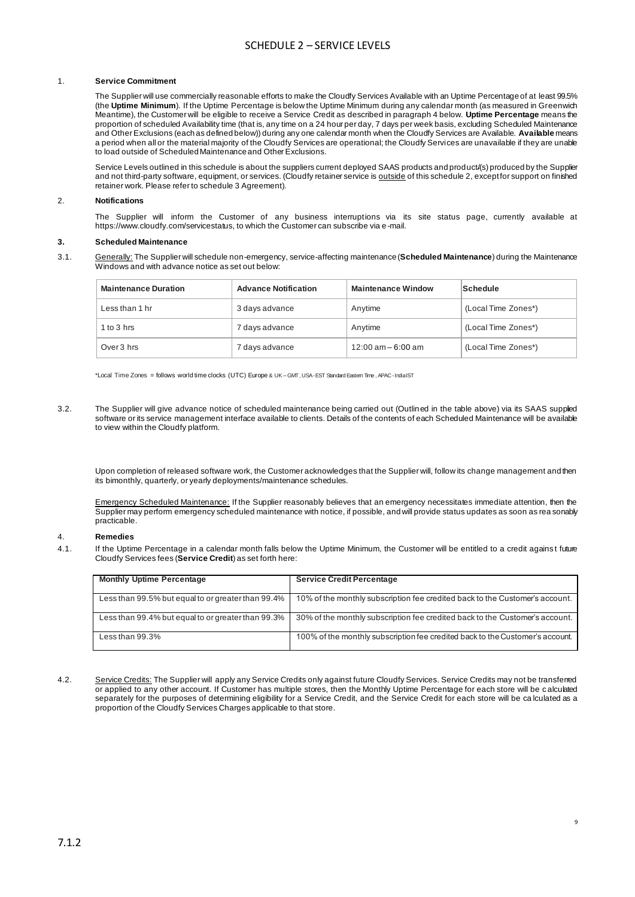## SCHEDULE 2 – SERVICE LEVELS

#### 1. **Service Commitment**

The Supplier will use commercially reasonable efforts to make the Cloudfy Services Available with an Uptime Percentage of at least 99.5% (the **Uptime Minimum**). If the Uptime Percentage is below the Uptime Minimum during any calendar month (as measured in Greenwich Meantime), the Customer will be eligible to receive a Service Credit as described in paragraph 4 below. **Uptime Percentage** means the proportion of scheduled Availability time (that is, any time on a 24 hour per day, 7 days per week basis, excluding Scheduled Maintenance and Other Exclusions (each as defined below)) during any one calendar month when the Cloudfy Services are Available. **Available** means a period when all or the material majority of the Cloudfy Services are operational; the Cloudfy Services are unavailable if they are unable to load outside of Scheduled Maintenance and Other Exclusions.

Service Levels outlined in this schedule is about the suppliers current deployed SAAS products and product/(s) produced by the Supplier and not third-party software, equipment, or services. (Cloudfy retainer service is outside of this schedule 2, except for support on finished retainer work. Please refer to schedule 3 Agreement).

#### 2. **Notifications**

The Supplier will inform the Customer of any business interruptions via its site status page, currently available at https://www.cloudfy.com/servicestatus, to which the Customer can subscribe via e-mail.

#### **3. Scheduled Maintenance**

3.1. Generally: The Supplier will schedule non-emergency, service-affecting maintenance (**Scheduled Maintenance**) during the Maintenance Windows and with advance notice as set out below:

| <b>Maintenance Duration</b> | <b>Advance Notification</b> | <b>Maintenance Window</b> | Schedule            |
|-----------------------------|-----------------------------|---------------------------|---------------------|
| Less than 1 hr              | 3 days advance              | Anytime                   | (Local Time Zones*) |
| 1 to $3$ hrs                | 7 days advance              | Anytime                   | (Local Time Zones*) |
| Over 3 hrs                  | 7 days advance              | $12:00$ am $-6:00$ am     | (Local Time Zones*) |

\*Local Time Zones = follows world time clocks (UTC) Europe & UK – GMT , USA -EST Standard Eastern Time , APAC -India IST

3.2. The Supplier will give advance notice of scheduled maintenance being carried out (Outlined in the table above) via its SAAS supplied software or its service management interface available to clients. Details of the contents of each Scheduled Maintenance will be available to view within the Cloudfy platform.

Upon completion of released software work, the Customer acknowledges that the Supplier will, follow its change management and then its bimonthly, quarterly, or yearly deployments/maintenance schedules.

Emergency Scheduled Maintenance: If the Supplier reasonably believes that an emergency necessitates immediate attention, then the Supplier may perform emergency scheduled maintenance with notice, if possible, and will provide status updates as soon as rea sonably practicable.

#### 4. **Remedies**

4.1. If the Uptime Percentage in a calendar month falls below the Uptime Minimum, the Customer will be entitled to a credit agains t future Cloudfy Services fees (**Service Credit**) as set forth here:

| <b>Monthly Uptime Percentage</b>                   | <b>Service Credit Percentage</b>                                              |
|----------------------------------------------------|-------------------------------------------------------------------------------|
| Less than 99.5% but equal to or greater than 99.4% | 10% of the monthly subscription fee credited back to the Customer's account.  |
| Less than 99.4% but equal to or greater than 99.3% | 30% of the monthly subscription fee credited back to the Customer's account.  |
| Less than $99.3\%$                                 | 100% of the monthly subscription fee credited back to the Customer's account. |

4.2. Service Credits: The Supplier will apply any Service Credits only against future Cloudfy Services. Service Credits may not be transferred or applied to any other account. If Customer has multiple stores, then the Monthly Uptime Percentage for each store will be c alculated separately for the purposes of determining eligibility for a Service Credit, and the Service Credit for each store will be ca lculated as a proportion of the Cloudfy Services Charges applicable to that store.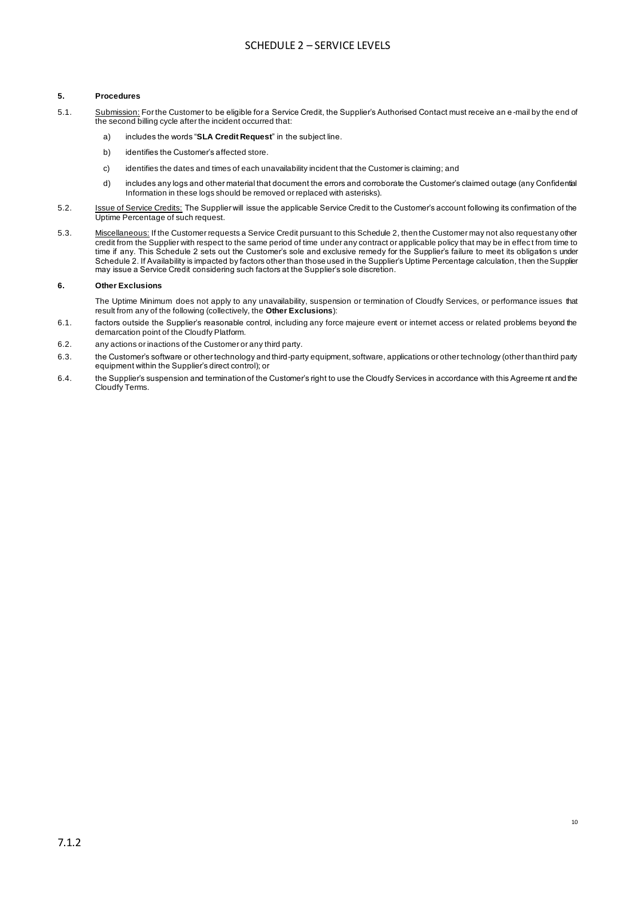### **5. Procedures**

- 5.1. Submission: For the Customer to be eligible for a Service Credit, the Supplier's Authorised Contact must receive an e-mail by the end of the second billing cycle after the incident occurred that:
	- a) includes the words "**SLA Credit Request**" in the subject line.
	- b) identifies the Customer's affected store.
	- c) identifies the dates and times of each unavailability incident that the Customer is claiming; and
	- d) includes any logs and other material that document the errors and corroborate the Customer's claimed outage (any Confidential Information in these logs should be removed or replaced with asterisks).
- 5.2. Issue of Service Credits: The Supplier will issue the applicable Service Credit to the Customer's account following its confirmation of the Uptime Percentage of such request.
- 5.3. Miscellaneous: If the Customer requests a Service Credit pursuant to this Schedule 2, then the Customer may not also request any other credit from the Supplier with respect to the same period of time under any contract or applicable policy that may be in effec t from time to time if any. This Schedule 2 sets out the Customer's sole and exclusive remedy for the Supplier's failure to meet its obligation s under Schedule 2. If Availability is impacted by factors other than those used in the Supplier's Uptime Percentage calculation, then the Supplier may issue a Service Credit considering such factors at the Supplier's sole discretion.

#### **6. Other Exclusions**

The Uptime Minimum does not apply to any unavailability, suspension or termination of Cloudfy Services, or performance issues that result from any of the following (collectively, the **Other Exclusions**):

- 6.1. factors outside the Supplier's reasonable control, including any force majeure event or internet access or related problems beyond the demarcation point of the Cloudfy Platform.
- 6.2. any actions or inactions of the Customer or any third party.
- 6.3. the Customer's software or other technology and third-party equipment, software, applications or other technology (other than third party equipment within the Supplier's direct control); or
- 6.4. the Supplier's suspension and termination of the Customer's right to use the Cloudfy Services in accordance with this Agreeme nt and the Cloudfy Terms.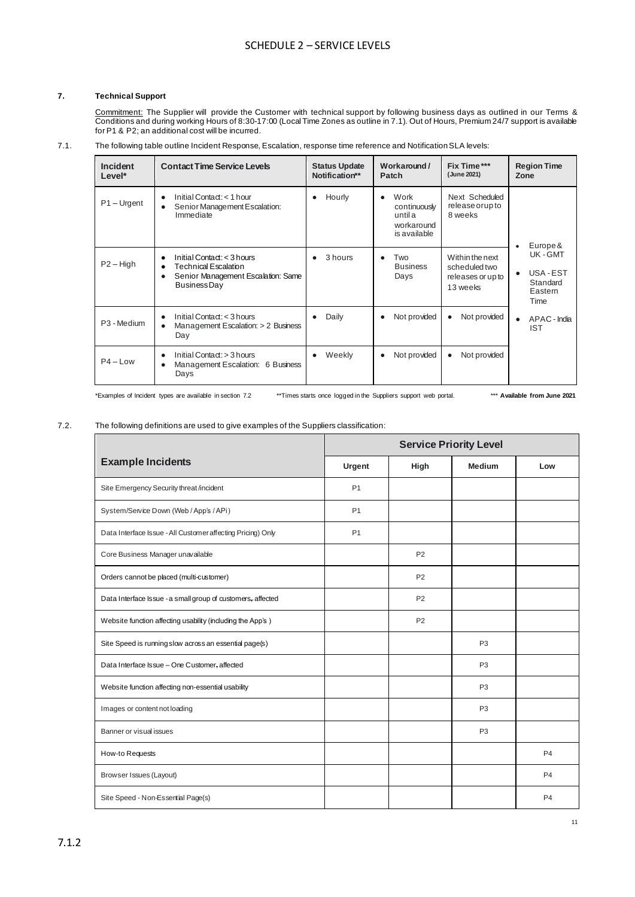### **7. Technical Support**

Commitment: The Supplier will provide the Customer with technical support by following business days as outlined in our Terms & Conditions and during working Hours of 8:30-17:00 (Local Time Zones as outline in 7.1). Out of Hours, Premium 24/7 support is available for P1 & P2; an additional cost will be incurred.

### 7.1. The following table outline Incident Response, Escalation, response time reference and Notification SLA levels:

| Incident<br>Level*      | <b>Contact Time Service Levels</b>                                                                                     | <b>Status Update</b><br>Notification** | Workaround/<br>Patch                                                       | Fix Time***<br>(June 2021)                                        | <b>Region Time</b><br>Zone                                                |
|-------------------------|------------------------------------------------------------------------------------------------------------------------|----------------------------------------|----------------------------------------------------------------------------|-------------------------------------------------------------------|---------------------------------------------------------------------------|
| $P1 - Urgent$           | Initial Contact: < 1 hour<br>Senior Management Escalation:<br>Immediate                                                | Hourly                                 | Work<br>$\bullet$<br>continuously<br>until a<br>workaround<br>is available | Next Scheduled<br>release or up to<br>8 weeks                     |                                                                           |
| $P2 - High$             | Initial Contact: $<$ 3 hours<br><b>Technical Escalation</b><br>Senior Management Escalation: Same<br>٠<br>Business Day | 3 hours                                | Two<br>$\bullet$<br><b>Business</b><br>Days                                | Within the next<br>scheduled two<br>releases or up to<br>13 weeks | Europe &<br>UK-GMT<br>USA-EST<br>$\bullet$<br>Standard<br>Eastern<br>Time |
| P <sub>3</sub> - Medium | Initial Contact: $<$ 3 hours<br>Management Escalation: > 2 Business<br>Day                                             | Daily                                  | Not provided                                                               | Not provided<br>$\bullet$                                         | APAC - India<br>$\bullet$<br><b>IST</b>                                   |
| $P4 - Low$              | Initial Contact: > 3 hours<br>Management Escalation: 6 Business<br>Days                                                | Weekly                                 | Not provided                                                               | Not provided<br>$\bullet$                                         |                                                                           |

\*Examples of Incident types are available in section 7.2 \*\*Times starts once logged in the Suppliers support web portal. \*\*\* **Available from June 2021**

### 7.2. The following definitions are used to give examples of the Suppliers classification:

|                                                             | <b>Service Priority Level</b> |                |                |                |
|-------------------------------------------------------------|-------------------------------|----------------|----------------|----------------|
| <b>Example Incidents</b>                                    | Urgent                        | High           | <b>Medium</b>  | Low            |
| Site Emergency Security threat /incident                    | P <sub>1</sub>                |                |                |                |
| System/Service Down (Web / App's / APi)                     | P <sub>1</sub>                |                |                |                |
| Data Interface Issue - All Customer affecting Pricing) Only | P <sub>1</sub>                |                |                |                |
| Core Business Manager unavailable                           |                               | P <sub>2</sub> |                |                |
| Orders cannot be placed (multi-customer)                    |                               | P <sub>2</sub> |                |                |
| Data Interface Issue - a small group of customers, affected |                               | P <sub>2</sub> |                |                |
| Website function affecting usability (including the App's)  |                               | P <sub>2</sub> |                |                |
| Site Speed is running slow across an essential page(s)      |                               |                | P <sub>3</sub> |                |
| Data Interface Issue - One Customer, affected               |                               |                | P <sub>3</sub> |                |
| Website function affecting non-essential usability          |                               |                | P <sub>3</sub> |                |
| Images or content not loading                               |                               |                | P <sub>3</sub> |                |
| Banner or visual issues                                     |                               |                | P <sub>3</sub> |                |
| How-to Requests                                             |                               |                |                | P <sub>4</sub> |
| Browser Issues (Layout)                                     |                               |                |                | P <sub>4</sub> |
| Site Speed - Non-Essential Page(s)                          |                               |                |                | P <sub>4</sub> |